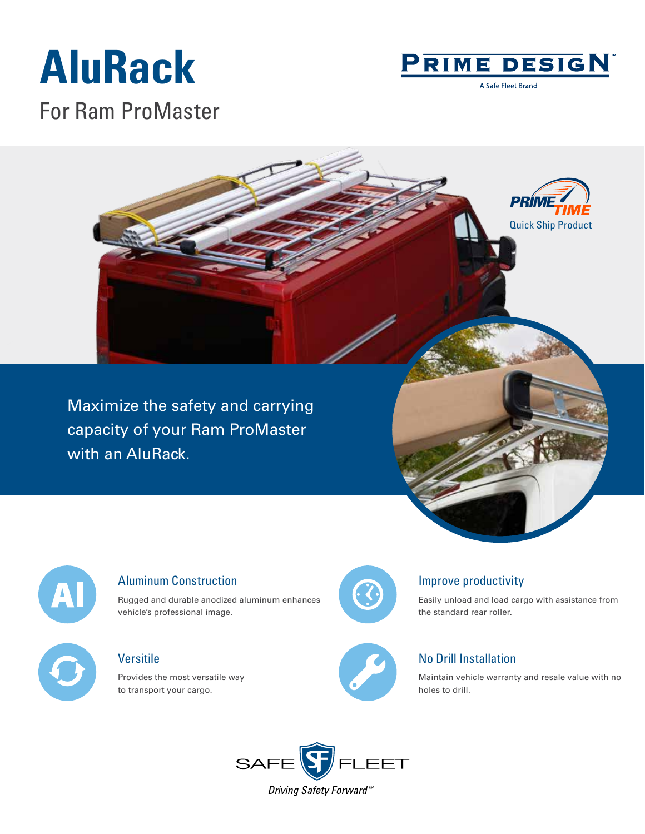## **AluRack**



A Safe Fleet Brand

For Ram ProMaster





#### Aluminum Construction

Rugged and durable anodized aluminum enhances vehicle's professional image.

### Versitile

Provides the most versatile way to transport your cargo.



#### Improve productivity

Easily unload and load cargo with assistance from the standard rear roller.



#### No Drill Installation

Maintain vehicle warranty and resale value with no holes to drill.